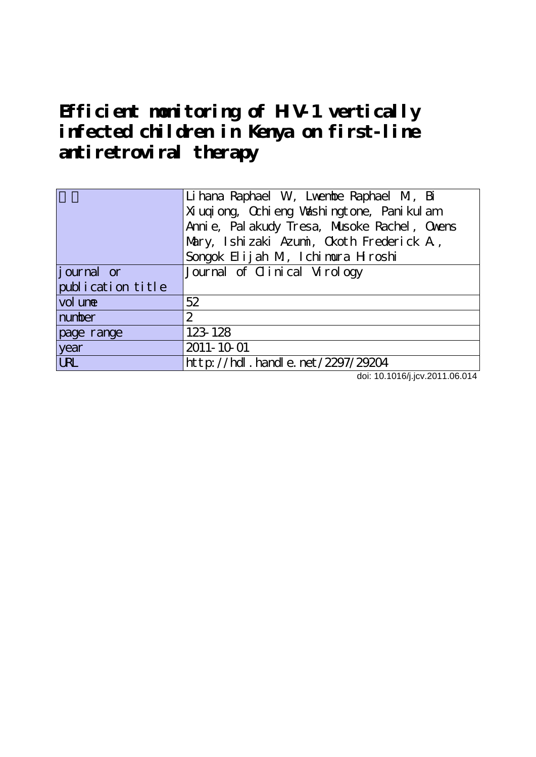# **Efficient monitoring of HIV-1 vertically infected children in Kenya on first-line antiretroviral therapy**

|                        | Li hana Raphael W, Lwentbe Raphael M, Bi        |
|------------------------|-------------------------------------------------|
|                        | Xi uqi ong, Qchi eng Vashi ngt one, Pani kul am |
|                        | Anni e, Pal akudy Tresa, Musoke Rachel, Ovens   |
|                        | Mary, Ishizaki Azumi, Okoth Frederick A,        |
|                        | Songok Elijah M, Ichimura Hroshi                |
| journal or             | Journal of Clinical Virology                    |
| publication title      |                                                 |
| vol une                | 52                                              |
| number                 | $\mathbf{2}$                                    |
| page range             | 123-128                                         |
| year                   | 2011-10-01                                      |
| $\overline{\text{UL}}$ | http://hdl.handle.net/2297/29204                |

doi: 10.1016/j.jcv.2011.06.014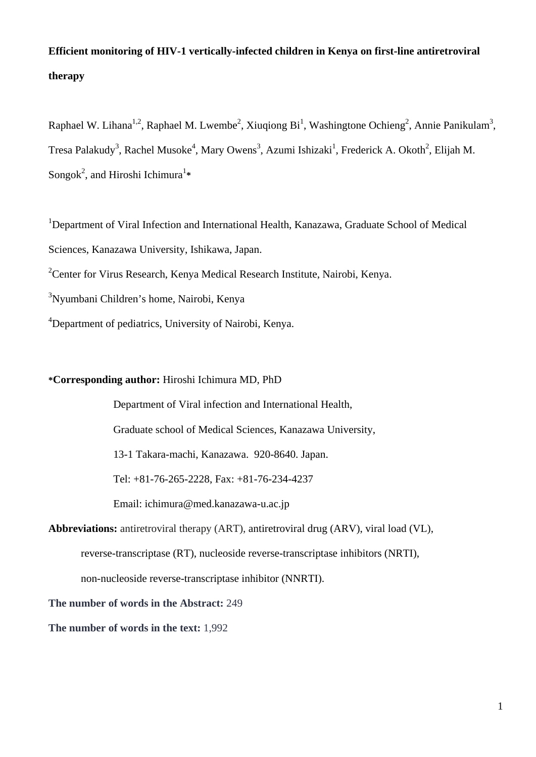## **Efficient monitoring of HIV-1 vertically-infected children in Kenya on first-line antiretroviral therapy**

Raphael W. Lihana<sup>1,2</sup>, Raphael M. Lwembe<sup>2</sup>, Xiuqiong Bi<sup>1</sup>, Washingtone Ochieng<sup>2</sup>, Annie Panikulam<sup>3</sup>, Tresa Palakudy<sup>3</sup>, Rachel Musoke<sup>4</sup>, Mary Owens<sup>3</sup>, Azumi Ishizaki<sup>1</sup>, Frederick A. Okoth<sup>2</sup>, Elijah M. Songok<sup>2</sup>, and Hiroshi Ichimura<sup>1</sup>\*

<sup>1</sup>Department of Viral Infection and International Health, Kanazawa, Graduate School of Medical Sciences, Kanazawa University, Ishikawa, Japan.

<sup>2</sup> Center for Virus Research, Kenya Medical Research Institute, Nairobi, Kenya.

3 Nyumbani Children's home, Nairobi, Kenya

<sup>4</sup>Department of pediatrics, University of Nairobi, Kenya.

### **\*Corresponding author:** Hiroshi Ichimura MD, PhD

Department of Viral infection and International Health,

Graduate school of Medical Sciences, Kanazawa University,

13-1 Takara-machi, Kanazawa. 920-8640. Japan.

Tel: +81-76-265-2228, Fax: +81-76-234-4237

Email: ichimura@med.kanazawa-u.ac.jp

**Abbreviations:** antiretroviral therapy (ART), antiretroviral drug (ARV), viral load (VL), reverse-transcriptase (RT), nucleoside reverse-transcriptase inhibitors (NRTI), non-nucleoside reverse-transcriptase inhibitor (NNRTI).

**The number of words in the Abstract:** 249

**The number of words in the text:** 1,992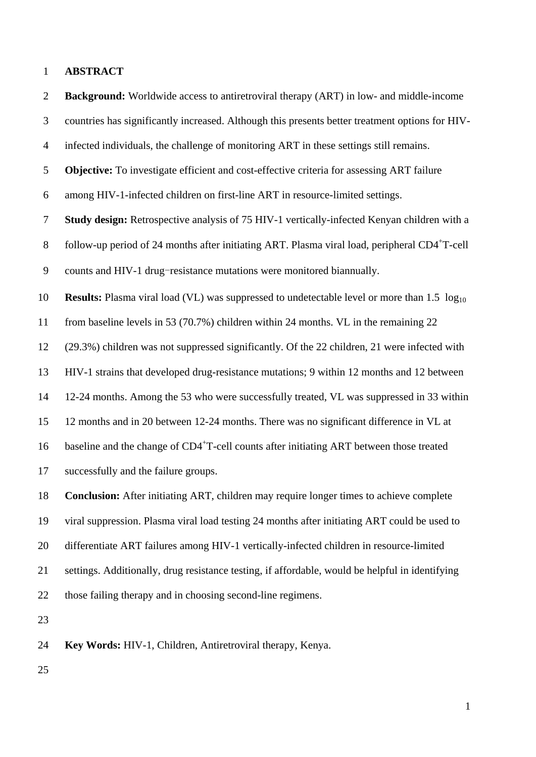#### 1 **ABSTRACT**

2 **Background:** Worldwide access to antiretroviral therapy (ART) in low- and middle-income 3 countries has significantly increased. Although this presents better treatment options for HIV-4 infected individuals, the challenge of monitoring ART in these settings still remains. 5 **Objective:** To investigate efficient and cost-effective criteria for assessing ART failure 6 among HIV-1-infected children on first-line ART in resource-limited settings. 7 **Study design:** Retrospective analysis of 75 HIV-1 vertically-infected Kenyan children with a  $\delta$  follow-up period of 24 months after initiating ART. Plasma viral load, peripheral CD4<sup>+</sup>T-cell 9 counts and HIV-1 drug-resistance mutations were monitored biannually. 10 **Results:** Plasma viral load (VL) was suppressed to undetectable level or more than 1.5  $log_{10}$ 11 from baseline levels in 53 (70.7%) children within 24 months. VL in the remaining 22 12 (29.3%) children was not suppressed significantly. Of the 22 children, 21 were infected with 13 HIV-1 strains that developed drug-resistance mutations; 9 within 12 months and 12 between 14 12-24 months. Among the 53 who were successfully treated, VL was suppressed in 33 within 15 12 months and in 20 between 12-24 months. There was no significant difference in VL at 16 baseline and the change of  $CD4+T$ -cell counts after initiating ART between those treated 17 successfully and the failure groups. 18 **Conclusion:** After initiating ART, children may require longer times to achieve complete 19 viral suppression. Plasma viral load testing 24 months after initiating ART could be used to 20 differentiate ART failures among HIV-1 vertically-infected children in resource-limited 21 settings. Additionally, drug resistance testing, if affordable, would be helpful in identifying 22 those failing therapy and in choosing second-line regimens. 23 24 **Key Words:** HIV-1, Children, Antiretroviral therapy, Kenya.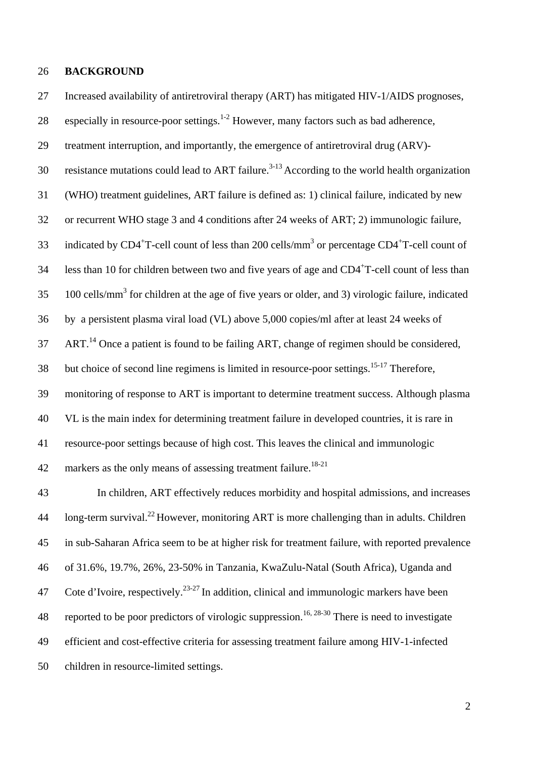#### 26 **BACKGROUND**

27 Increased availability of antiretroviral therapy (ART) has mitigated HIV-1/AIDS prognoses,

28 especially in resource-poor settings.<sup>1-2</sup> However, many factors such as bad adherence,

29 treatment interruption, and importantly, the emergence of antiretroviral drug (ARV)-

30 resistance mutations could lead to ART failure.<sup>3-13</sup> According to the world health organization

31 (WHO) treatment guidelines, ART failure is defined as: 1) clinical failure, indicated by new

32 or recurrent WHO stage 3 and 4 conditions after 24 weeks of ART; 2) immunologic failure,

33 indicated by CD4<sup>+</sup>T-cell count of less than 200 cells/mm<sup>3</sup> or percentage CD4<sup>+</sup>T-cell count of

34 Iess than 10 for children between two and five years of age and  $CD4+T$ -cell count of less than

 $100$  cells/mm<sup>3</sup> for children at the age of five years or older, and 3) virologic failure, indicated

36 by a persistent plasma viral load (VL) above 5,000 copies/ml after at least 24 weeks of

 $AT<sup>14</sup>$  Once a patient is found to be failing ART, change of regimen should be considered,

 $38$  but choice of second line regimens is limited in resource-poor settings.<sup>15-17</sup> Therefore,

39 monitoring of response to ART is important to determine treatment success. Although plasma

40 VL is the main index for determining treatment failure in developed countries, it is rare in

41 resource-poor settings because of high cost. This leaves the clinical and immunologic

42 markers as the only means of assessing treatment failure.<sup>18-21</sup>

43 In children, ART effectively reduces morbidity and hospital admissions, and increases  $\mu$  long-term survival.<sup>22</sup> However, monitoring ART is more challenging than in adults. Children 45 in sub-Saharan Africa seem to be at higher risk for treatment failure, with reported prevalence 46 of 31.6%, 19.7%, 26%, 23-50% in Tanzania, KwaZulu-Natal (South Africa), Uganda and 47 Cote d'Ivoire, respectively.  $2^{3-27}$  In addition, clinical and immunologic markers have been 48 reported to be poor predictors of virologic suppression.<sup>16, 28-30</sup> There is need to investigate 49 efficient and cost-effective criteria for assessing treatment failure among HIV-1-infected 50 children in resource-limited settings.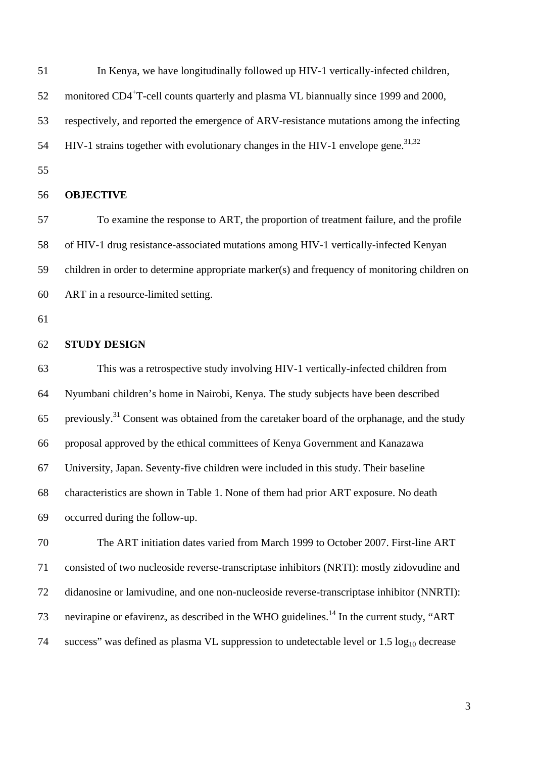51 In Kenya, we have longitudinally followed up HIV-1 vertically-infected children,

52 monitored CD4<sup>+</sup>T-cell counts quarterly and plasma VL biannually since 1999 and 2000,

53 respectively, and reported the emergence of ARV-resistance mutations among the infecting

 $HIV-1$  strains together with evolutionary changes in the HIV-1 envelope gene.<sup>31,32</sup>

55

#### 56 **OBJECTIVE**

57 To examine the response to ART, the proportion of treatment failure, and the profile 58 of HIV-1 drug resistance-associated mutations among HIV-1 vertically-infected Kenyan 59 children in order to determine appropriate marker(s) and frequency of monitoring children on 60 ART in a resource-limited setting.

61

#### 62 **STUDY DESIGN**

63 This was a retrospective study involving HIV-1 vertically-infected children from 64 Nyumbani children's home in Nairobi, Kenya. The study subjects have been described 65 previously.<sup>31</sup> Consent was obtained from the caretaker board of the orphanage, and the study 66 proposal approved by the ethical committees of Kenya Government and Kanazawa 67 University, Japan. Seventy-five children were included in this study. Their baseline 68 characteristics are shown in Table 1. None of them had prior ART exposure. No death 69 occurred during the follow-up.

70 The ART initiation dates varied from March 1999 to October 2007. First-line ART 71 consisted of two nucleoside reverse-transcriptase inhibitors (NRTI): mostly zidovudine and 72 didanosine or lamivudine, and one non-nucleoside reverse-transcriptase inhibitor (NNRTI): 73 nevirapine or efavirenz, as described in the WHO guidelines.<sup>14</sup> In the current study, "ART 74 success" was defined as plasma VL suppression to undetectable level or  $1.5 \log_{10}$  decrease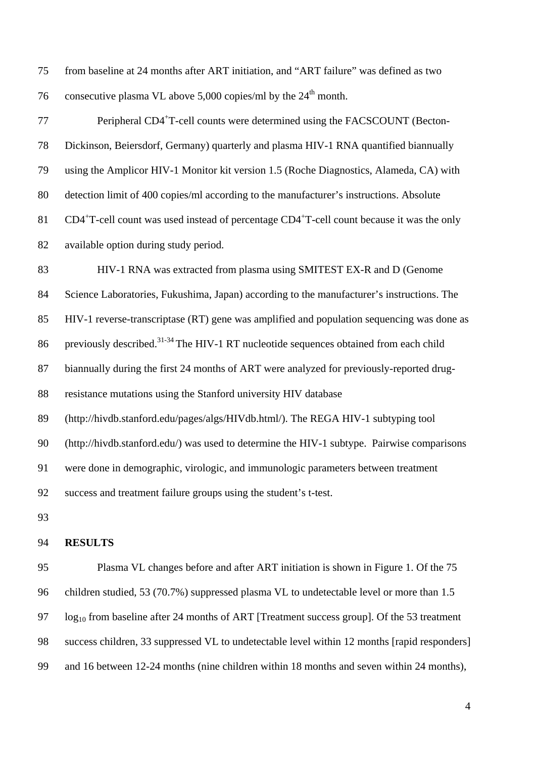75 from baseline at 24 months after ART initiation, and "ART failure" was defined as two 76 consecutive plasma VL above 5,000 copies/ml by the  $24<sup>th</sup>$  month.

Peripheral CD4<sup>+</sup>T-cell counts were determined using the FACSCOUNT (Becton-78 Dickinson, Beiersdorf, Germany) quarterly and plasma HIV-1 RNA quantified biannually 79 using the Amplicor HIV-1 Monitor kit version 1.5 (Roche Diagnostics, Alameda, CA) with 80 detection limit of 400 copies/ml according to the manufacturer's instructions. Absolute 81 CD4<sup>+</sup>T-cell count was used instead of percentage CD4<sup>+</sup>T-cell count because it was the only 82 available option during study period. 83 HIV-1 RNA was extracted from plasma using SMITEST EX-R and D (Genome 84 Science Laboratories, Fukushima, Japan) according to the manufacturer's instructions. The 85 HIV-1 reverse-transcriptase (RT) gene was amplified and population sequencing was done as 86 previously described.<sup>31-34</sup> The HIV-1 RT nucleotide sequences obtained from each child 87 biannually during the first 24 months of ART were analyzed for previously-reported drug-88 resistance mutations using the Stanford university HIV database 89 (http://hivdb.stanford.edu/pages/algs/HIVdb.html/). The REGA HIV-1 subtyping tool 90 (http://hivdb.stanford.edu/) was used to determine the HIV-1 subtype. Pairwise comparisons 91 were done in demographic, virologic, and immunologic parameters between treatment 92 success and treatment failure groups using the student's t-test.

93

#### 94 **RESULTS**

95 Plasma VL changes before and after ART initiation is shown in Figure 1. Of the 75 96 children studied, 53 (70.7%) suppressed plasma VL to undetectable level or more than 1.5  $97 \log_{10}$  from baseline after 24 months of ART [Treatment success group]. Of the 53 treatment 98 success children, 33 suppressed VL to undetectable level within 12 months [rapid responders] 99 and 16 between 12-24 months (nine children within 18 months and seven within 24 months),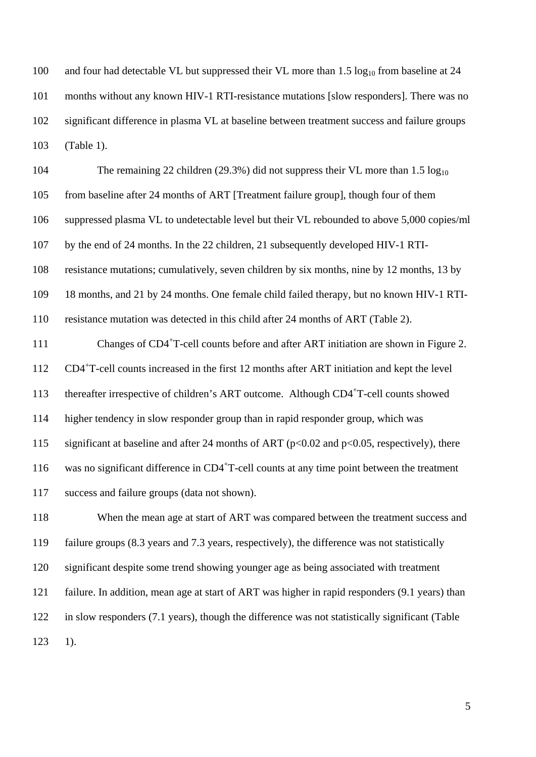100 and four had detectable VL but suppressed their VL more than  $1.5 \log_{10}$  from baseline at 24 101 months without any known HIV-1 RTI-resistance mutations [slow responders]. There was no 102 significant difference in plasma VL at baseline between treatment success and failure groups 103 (Table 1).

104 The remaining 22 children (29.3%) did not suppress their VL more than 1.5 log<sub>10</sub> 105 from baseline after 24 months of ART [Treatment failure group], though four of them 106 suppressed plasma VL to undetectable level but their VL rebounded to above 5,000 copies/ml 107 by the end of 24 months. In the 22 children, 21 subsequently developed HIV-1 RTI-108 resistance mutations; cumulatively, seven children by six months, nine by 12 months, 13 by 109 18 months, and 21 by 24 months. One female child failed therapy, but no known HIV-1 RTI-110 resistance mutation was detected in this child after 24 months of ART (Table 2).

111 Changes of CD4<sup>+</sup>T-cell counts before and after ART initiation are shown in Figure 2. 112 CD4<sup>+</sup>T-cell counts increased in the first 12 months after ART initiation and kept the level thereafter irrespective of children's ART outcome. Although  $CD4+T$ -cell counts showed 114 higher tendency in slow responder group than in rapid responder group, which was 115 significant at baseline and after 24 months of ART ( $p<0.02$  and  $p<0.05$ , respectively), there 116 was no significant difference in  $CD4+T$ -cell counts at any time point between the treatment 117 success and failure groups (data not shown).

118 When the mean age at start of ART was compared between the treatment success and 119 failure groups (8.3 years and 7.3 years, respectively), the difference was not statistically 120 significant despite some trend showing younger age as being associated with treatment 121 failure. In addition, mean age at start of ART was higher in rapid responders (9.1 years) than 122 in slow responders (7.1 years), though the difference was not statistically significant (Table 123 1).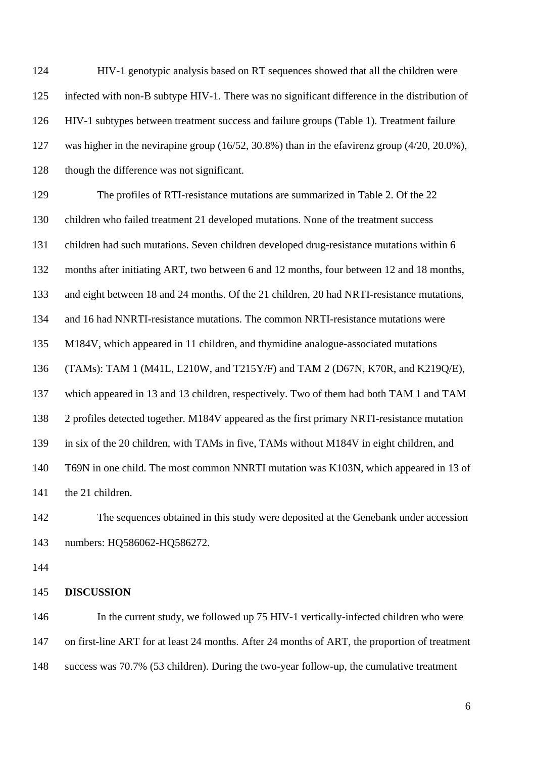124 HIV-1 genotypic analysis based on RT sequences showed that all the children were 125 infected with non-B subtype HIV-1. There was no significant difference in the distribution of 126 HIV-1 subtypes between treatment success and failure groups (Table 1). Treatment failure 127 was higher in the nevirapine group (16/52, 30.8%) than in the efavirenz group (4/20, 20.0%), 128 though the difference was not significant.

129 The profiles of RTI-resistance mutations are summarized in Table 2. Of the 22 130 children who failed treatment 21 developed mutations. None of the treatment success 131 children had such mutations. Seven children developed drug-resistance mutations within 6 132 months after initiating ART, two between 6 and 12 months, four between 12 and 18 months, 133 and eight between 18 and 24 months. Of the 21 children, 20 had NRTI-resistance mutations, 134 and 16 had NNRTI-resistance mutations. The common NRTI-resistance mutations were 135 M184V, which appeared in 11 children, and thymidine analogue-associated mutations 136 (TAMs): TAM 1 (M41L, L210W, and T215Y/F) and TAM 2 (D67N, K70R, and K219Q/E), 137 which appeared in 13 and 13 children, respectively. Two of them had both TAM 1 and TAM 138 2 profiles detected together. M184V appeared as the first primary NRTI-resistance mutation 139 in six of the 20 children, with TAMs in five, TAMs without M184V in eight children, and 140 T69N in one child. The most common NNRTI mutation was K103N, which appeared in 13 of 141 the 21 children.

142 The sequences obtained in this study were deposited at the Genebank under accession 143 numbers: HQ586062-HQ586272.

144

#### 145 **DISCUSSION**

146 In the current study, we followed up 75 HIV-1 vertically-infected children who were 147 on first-line ART for at least 24 months. After 24 months of ART, the proportion of treatment 148 success was 70.7% (53 children). During the two-year follow-up, the cumulative treatment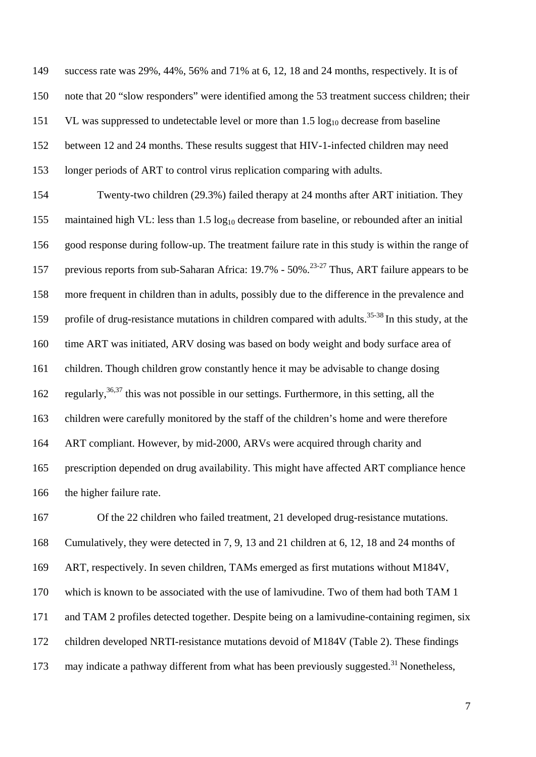149 success rate was 29%, 44%, 56% and 71% at 6, 12, 18 and 24 months, respectively. It is of 150 note that 20 "slow responders" were identified among the 53 treatment success children; their 151 VL was suppressed to undetectable level or more than  $1.5 \log_{10}$  decrease from baseline 152 between 12 and 24 months. These results suggest that HIV-1-infected children may need 153 longer periods of ART to control virus replication comparing with adults.

154 Twenty-two children (29.3%) failed therapy at 24 months after ART initiation. They 155 maintained high VL: less than 1.5 log<sub>10</sub> decrease from baseline, or rebounded after an initial 156 good response during follow-up. The treatment failure rate in this study is within the range of 157 previous reports from sub-Saharan Africa: 19.7% - 50%.<sup>23-27</sup> Thus, ART failure appears to be 158 more frequent in children than in adults, possibly due to the difference in the prevalence and 159 profile of drug-resistance mutations in children compared with adults.<sup>35-38</sup> In this study, at the 160 time ART was initiated, ARV dosing was based on body weight and body surface area of 161 children. Though children grow constantly hence it may be advisable to change dosing 162 regularly,  $36,37$  this was not possible in our settings. Furthermore, in this setting, all the 163 children were carefully monitored by the staff of the children's home and were therefore 164 ART compliant. However, by mid-2000, ARVs were acquired through charity and 165 prescription depended on drug availability. This might have affected ART compliance hence 166 the higher failure rate.

167 Of the 22 children who failed treatment, 21 developed drug-resistance mutations. 168 Cumulatively, they were detected in 7, 9, 13 and 21 children at 6, 12, 18 and 24 months of 169 ART, respectively. In seven children, TAMs emerged as first mutations without M184V, 170 which is known to be associated with the use of lamivudine. Two of them had both TAM 1 171 and TAM 2 profiles detected together. Despite being on a lamivudine-containing regimen, six 172 children developed NRTI-resistance mutations devoid of M184V (Table 2). These findings 173 may indicate a pathway different from what has been previously suggested.<sup>31</sup> Nonetheless,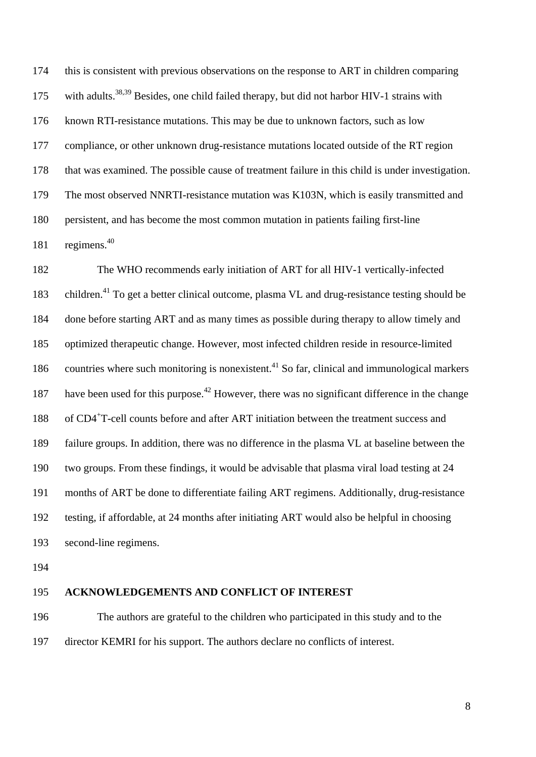174 this is consistent with previous observations on the response to ART in children comparing 175 with adults.<sup>38,39</sup> Besides, one child failed therapy, but did not harbor HIV-1 strains with 176 known RTI-resistance mutations. This may be due to unknown factors, such as low 177 compliance, or other unknown drug-resistance mutations located outside of the RT region 178 that was examined. The possible cause of treatment failure in this child is under investigation. 179 The most observed NNRTI-resistance mutation was K103N, which is easily transmitted and 180 persistent, and has become the most common mutation in patients failing first-line 181 regimens. $40$ 

182 The WHO recommends early initiation of ART for all HIV-1 vertically-infected 183 children.<sup>41</sup> To get a better clinical outcome, plasma VL and drug-resistance testing should be 184 done before starting ART and as many times as possible during therapy to allow timely and 185 optimized therapeutic change. However, most infected children reside in resource-limited 186 countries where such monitoring is nonexistent.<sup>41</sup> So far, clinical and immunological markers have been used for this purpose.<sup>42</sup> However, there was no significant difference in the change 188 of CD4<sup>+</sup>T-cell counts before and after ART initiation between the treatment success and 189 failure groups. In addition, there was no difference in the plasma VL at baseline between the 190 two groups. From these findings, it would be advisable that plasma viral load testing at 24 191 months of ART be done to differentiate failing ART regimens. Additionally, drug-resistance 192 testing, if affordable, at 24 months after initiating ART would also be helpful in choosing 193 second-line regimens.

194

#### 195 **ACKNOWLEDGEMENTS AND CONFLICT OF INTEREST**

196 The authors are grateful to the children who participated in this study and to the 197 director KEMRI for his support. The authors declare no conflicts of interest.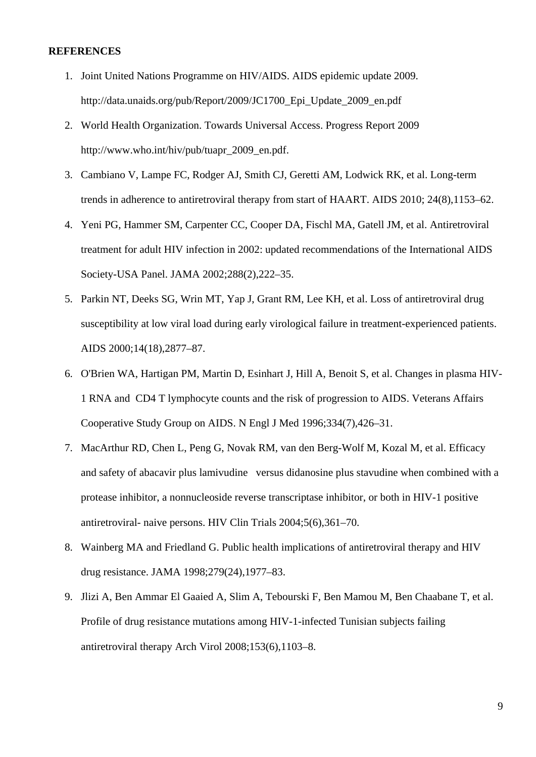#### **REFERENCES**

- 1. Joint United Nations Programme on HIV/AIDS. AIDS epidemic update 2009. http://data.unaids.org/pub/Report/2009/JC1700\_Epi\_Update\_2009\_en.pdf
- 2. World Health Organization. Towards Universal Access. Progress Report 2009 http://www.who.int/hiv/pub/tuapr\_2009\_en.pdf.
- 3. Cambiano V, Lampe FC, Rodger AJ, Smith CJ, Geretti AM, Lodwick RK, et al. Long-term trends in adherence to antiretroviral therapy from start of HAART. AIDS 2010; 24(8),1153–62.
- 4. Yeni PG, Hammer SM, Carpenter CC, Cooper DA, Fischl MA, Gatell JM, et al. Antiretroviral treatment for adult HIV infection in 2002: updated recommendations of the International AIDS Society-USA Panel. JAMA 2002;288(2),222–35.
- 5. Parkin NT, Deeks SG, Wrin MT, Yap J, Grant RM, Lee KH, et al. Loss of antiretroviral drug susceptibility at low viral load during early virological failure in treatment-experienced patients. AIDS 2000;14(18),2877–87.
- 6. O'Brien WA, Hartigan PM, Martin D, Esinhart J, Hill A, Benoit S, et al. Changes in plasma HIV-1 RNA and CD4 T lymphocyte counts and the risk of progression to AIDS. Veterans Affairs Cooperative Study Group on AIDS. N Engl J Med 1996;334(7),426–31.
- 7. MacArthur RD, Chen L, Peng G, Novak RM, van den Berg-Wolf M, Kozal M, et al. Efficacy and safety of abacavir plus lamivudine versus didanosine plus stavudine when combined with a protease inhibitor, a nonnucleoside reverse transcriptase inhibitor, or both in HIV-1 positive antiretroviral- naive persons. HIV Clin Trials 2004;5(6),361–70.
- 8. Wainberg MA and Friedland G. Public health implications of antiretroviral therapy and HIV drug resistance. JAMA 1998;279(24),1977–83.
- 9. Jlizi A, Ben Ammar El Gaaied A, Slim A, Tebourski F, Ben Mamou M, Ben Chaabane T, et al. Profile of drug resistance mutations among HIV-1-infected Tunisian subjects failing antiretroviral therapy Arch Virol 2008;153(6),1103–8.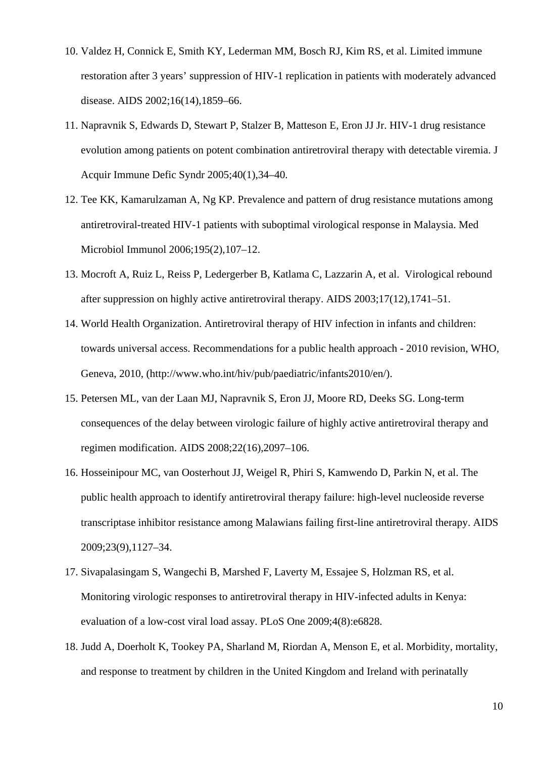- 10. Valdez H, Connick E, Smith KY, Lederman MM, Bosch RJ, Kim RS, et al. Limited immune restoration after 3 years' suppression of HIV-1 replication in patients with moderately advanced disease. AIDS 2002;16(14),1859–66.
- 11. Napravnik S, Edwards D, Stewart P, Stalzer B, Matteson E, Eron JJ Jr. HIV-1 drug resistance evolution among patients on potent combination antiretroviral therapy with detectable viremia. J Acquir Immune Defic Syndr 2005;40(1),34–40.
- 12. Tee KK, Kamarulzaman A, Ng KP. Prevalence and pattern of drug resistance mutations among antiretroviral-treated HIV-1 patients with suboptimal virological response in Malaysia. Med Microbiol Immunol 2006;195(2),107–12.
- 13. Mocroft A, Ruiz L, Reiss P, Ledergerber B, Katlama C, Lazzarin A, et al. Virological rebound after suppression on highly active antiretroviral therapy. AIDS 2003;17(12),1741–51.
- 14. World Health Organization. Antiretroviral therapy of HIV infection in infants and children: towards universal access. Recommendations for a public health approach - 2010 revision, WHO, Geneva, 2010, (http://www.who.int/hiv/pub/paediatric/infants2010/en/).
- 15. Petersen ML, van der Laan MJ, Napravnik S, Eron JJ, Moore RD, Deeks SG. Long-term consequences of the delay between virologic failure of highly active antiretroviral therapy and regimen modification. AIDS 2008;22(16),2097–106.
- 16. Hosseinipour MC, van Oosterhout JJ, Weigel R, Phiri S, Kamwendo D, Parkin N, et al. The public health approach to identify antiretroviral therapy failure: high-level nucleoside reverse transcriptase inhibitor resistance among Malawians failing first-line antiretroviral therapy. AIDS 2009;23(9),1127–34.
- 17. Sivapalasingam S, Wangechi B, Marshed F, Laverty M, Essajee S, Holzman RS, et al. Monitoring virologic responses to antiretroviral therapy in HIV-infected adults in Kenya: evaluation of a low-cost viral load assay. PLoS One 2009;4(8):e6828.
- 18. Judd A, Doerholt K, Tookey PA, Sharland M, Riordan A, Menson E, et al. Morbidity, mortality, and response to treatment by children in the United Kingdom and Ireland with perinatally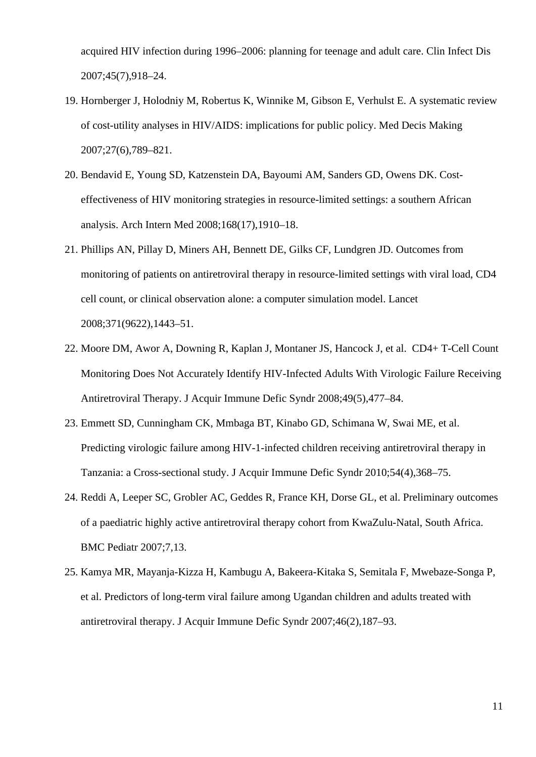acquired HIV infection during 1996–2006: planning for teenage and adult care. Clin Infect Dis 2007;45(7),918–24.

- 19. Hornberger J, Holodniy M, Robertus K, Winnike M, Gibson E, Verhulst E. A systematic review of cost-utility analyses in HIV/AIDS: implications for public policy. Med Decis Making 2007;27(6),789–821.
- 20. Bendavid E, Young SD, Katzenstein DA, Bayoumi AM, Sanders GD, Owens DK. Costeffectiveness of HIV monitoring strategies in resource-limited settings: a southern African analysis. Arch Intern Med 2008;168(17),1910–18.
- 21. Phillips AN, Pillay D, Miners AH, Bennett DE, Gilks CF, Lundgren JD. Outcomes from monitoring of patients on antiretroviral therapy in resource-limited settings with viral load, CD4 cell count, or clinical observation alone: a computer simulation model. Lancet 2008;371(9622),1443–51.
- 22. Moore DM, Awor A, Downing R, Kaplan J, Montaner JS, Hancock J, et al. CD4+ T-Cell Count Monitoring Does Not Accurately Identify HIV-Infected Adults With Virologic Failure Receiving Antiretroviral Therapy. J Acquir Immune Defic Syndr 2008;49(5),477–84.
- 23. Emmett SD, Cunningham CK, Mmbaga BT, Kinabo GD, Schimana W, Swai ME, et al. Predicting virologic failure among HIV-1-infected children receiving antiretroviral therapy in Tanzania: a Cross-sectional study. J Acquir Immune Defic Syndr 2010;54(4),368–75.
- 24. Reddi A, Leeper SC, Grobler AC, Geddes R, France KH, Dorse GL, et al. Preliminary outcomes of a paediatric highly active antiretroviral therapy cohort from KwaZulu-Natal, South Africa. BMC Pediatr 2007;7,13.
- 25. Kamya MR, Mayanja-Kizza H, Kambugu A, Bakeera-Kitaka S, Semitala F, Mwebaze-Songa P, et al. Predictors of long-term viral failure among Ugandan children and adults treated with antiretroviral therapy. J Acquir Immune Defic Syndr 2007;46(2),187–93.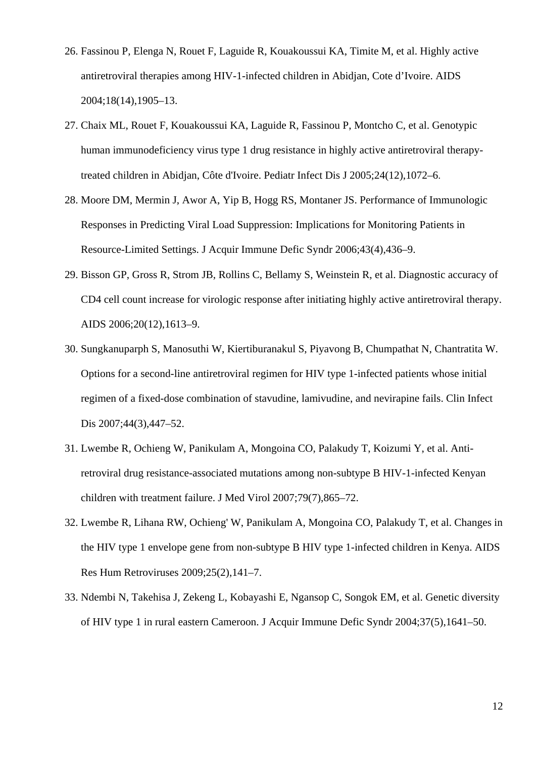- 26. Fassinou P, Elenga N, Rouet F, Laguide R, Kouakoussui KA, Timite M, et al. Highly active antiretroviral therapies among HIV-1-infected children in Abidjan, Cote d'Ivoire. AIDS 2004;18(14),1905–13.
- 27. Chaix ML, Rouet F, Kouakoussui KA, Laguide R, Fassinou P, Montcho C, et al. Genotypic human immunodeficiency virus type 1 drug resistance in highly active antiretroviral therapytreated children in Abidjan, Côte d'Ivoire. Pediatr Infect Dis J 2005;24(12),1072–6.
- 28. Moore DM, Mermin J, Awor A, Yip B, Hogg RS, Montaner JS. Performance of Immunologic Responses in Predicting Viral Load Suppression: Implications for Monitoring Patients in Resource-Limited Settings. J Acquir Immune Defic Syndr 2006;43(4),436–9.
- 29. Bisson GP, Gross R, Strom JB, Rollins C, Bellamy S, Weinstein R, et al. Diagnostic accuracy of CD4 cell count increase for virologic response after initiating highly active antiretroviral therapy. AIDS 2006;20(12),1613–9.
- 30. Sungkanuparph S, Manosuthi W, Kiertiburanakul S, Piyavong B, Chumpathat N, Chantratita W. Options for a second-line antiretroviral regimen for HIV type 1-infected patients whose initial regimen of a fixed-dose combination of stavudine, lamivudine, and nevirapine fails. Clin Infect Dis 2007;44(3),447–52.
- 31. Lwembe R, Ochieng W, Panikulam A, Mongoina CO, Palakudy T, Koizumi Y, et al. Antiretroviral drug resistance-associated mutations among non-subtype B HIV-1-infected Kenyan children with treatment failure. J Med Virol 2007;79(7),865–72.
- 32. Lwembe R, Lihana RW, Ochieng' W, Panikulam A, Mongoina CO, Palakudy T, et al. Changes in the HIV type 1 envelope gene from non-subtype B HIV type 1-infected children in Kenya. AIDS Res Hum Retroviruses 2009;25(2),141–7.
- 33. Ndembi N, Takehisa J, Zekeng L, Kobayashi E, Ngansop C, Songok EM, et al. Genetic diversity of HIV type 1 in rural eastern Cameroon. J Acquir Immune Defic Syndr 2004;37(5),1641–50.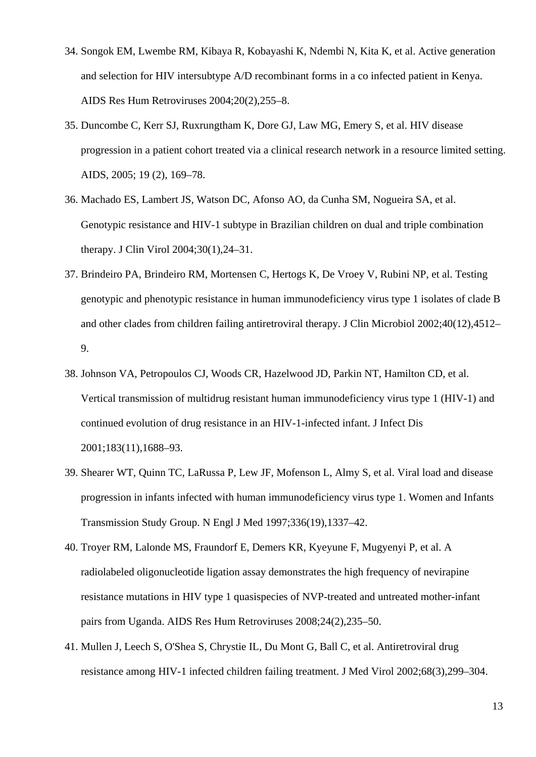- 34. Songok EM, Lwembe RM, Kibaya R, Kobayashi K, Ndembi N, Kita K, et al. Active generation and selection for HIV intersubtype A/D recombinant forms in a co infected patient in Kenya. AIDS Res Hum Retroviruses 2004;20(2),255–8.
- 35. Duncombe C, Kerr SJ, Ruxrungtham K, Dore GJ, Law MG, Emery S, et al. HIV disease progression in a patient cohort treated via a clinical research network in a resource limited setting. AIDS, 2005; 19 (2), 169–78.
- 36. Machado ES, Lambert JS, Watson DC, Afonso AO, da Cunha SM, Nogueira SA, et al. Genotypic resistance and HIV-1 subtype in Brazilian children on dual and triple combination therapy. J Clin Virol 2004;30(1),24–31.
- 37. Brindeiro PA, Brindeiro RM, Mortensen C, Hertogs K, De Vroey V, Rubini NP, et al. Testing genotypic and phenotypic resistance in human immunodeficiency virus type 1 isolates of clade B and other clades from children failing antiretroviral therapy. J Clin Microbiol 2002;40(12),4512– 9.
- 38. Johnson VA, Petropoulos CJ, Woods CR, Hazelwood JD, Parkin NT, Hamilton CD, et al. Vertical transmission of multidrug resistant human immunodeficiency virus type 1 (HIV-1) and continued evolution of drug resistance in an HIV-1-infected infant. J Infect Dis 2001;183(11),1688–93.
- 39. Shearer WT, Quinn TC, LaRussa P, Lew JF, Mofenson L, Almy S, et al. Viral load and disease progression in infants infected with human immunodeficiency virus type 1. Women and Infants Transmission Study Group. N Engl J Med 1997;336(19),1337–42.
- 40. Troyer RM, Lalonde MS, Fraundorf E, Demers KR, Kyeyune F, Mugyenyi P, et al. A radiolabeled oligonucleotide ligation assay demonstrates the high frequency of nevirapine resistance mutations in HIV type 1 quasispecies of NVP-treated and untreated mother-infant pairs from Uganda. AIDS Res Hum Retroviruses 2008;24(2),235–50.
- 41. Mullen J, Leech S, O'Shea S, Chrystie IL, Du Mont G, Ball C, et al. Antiretroviral drug resistance among HIV-1 infected children failing treatment. J Med Virol 2002;68(3),299–304.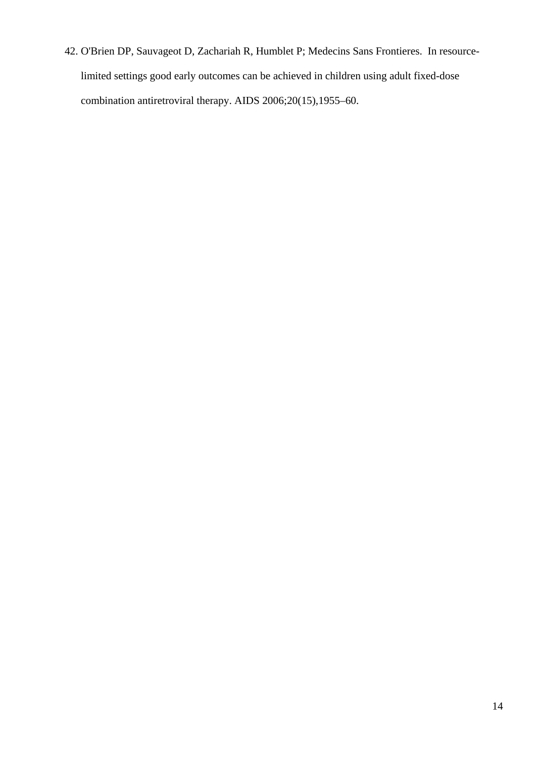42. O'Brien DP, Sauvageot D, Zachariah R, Humblet P; Medecins Sans Frontieres. In resourcelimited settings good early outcomes can be achieved in children using adult fixed-dose combination antiretroviral therapy. AIDS 2006;20(15),1955–60.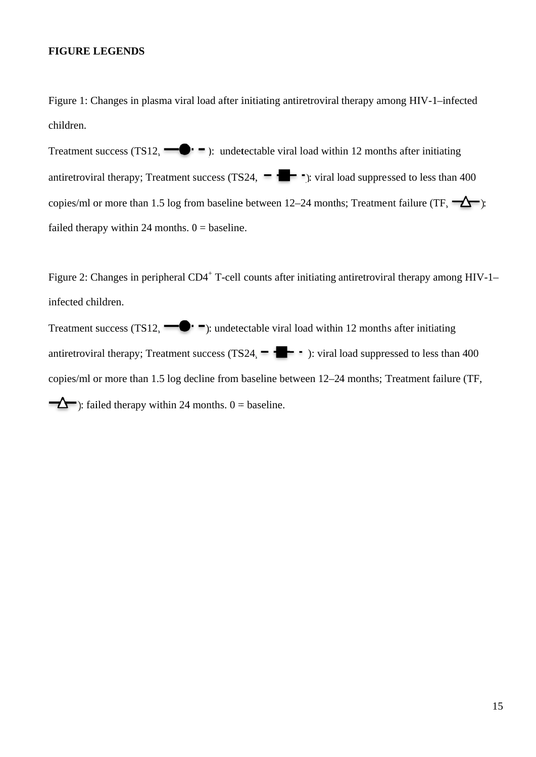#### **FIGURE L LEGENDS**

Figure 1: Changes in plasma viral load after initiating antiretroviral therapy among HIV-1-infected children.

Treatment success (TS12,  $\blacksquare$   $\blacksquare$ ): undetectable viral load within 12 months after initiating antiretroviral therapy; Treatment success (TS24,  $\blacksquare$   $\blacksquare$ ): viral load suppressed to less than 400 copies/ml or more than 1.5 log from baseline between 12–24 months; Treatment failure (TF,  $\rightarrow$ ): failed therapy within 24 months.  $0 =$  baseline.

Figure 2: Changes in peripheral CD4<sup>+</sup> T-cell counts after initiating antiretroviral therapy among HIV-1– infected chi ildren.

Treatment success (TS12,  $\blacksquare$   $\blacksquare$ ): undetectable viral load within 12 months after initiating antiretroviral therapy; Treatment success (TS24,  $\blacksquare$   $\blacksquare$   $\blacksquare$  ): viral load suppressed to less than 400 copies/ml or more than 1.5 log decline from baseline between 12–24 months; Treatment failure (TF, ): failed therapy within 24 months.  $0 =$  baseline.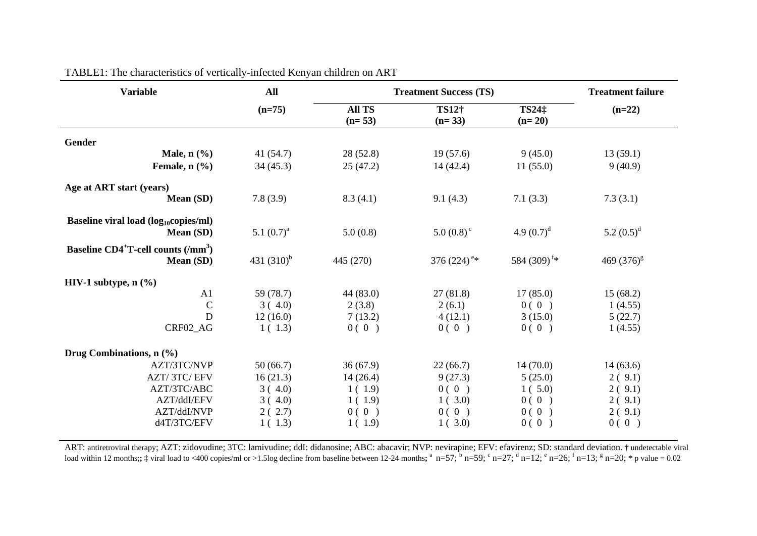| <b>Variable</b>                                                          | <b>All</b>    | <b>Treatment Success (TS)</b> |                           |                               | <b>Treatment failure</b> |
|--------------------------------------------------------------------------|---------------|-------------------------------|---------------------------|-------------------------------|--------------------------|
|                                                                          | $(n=75)$      | <b>All TS</b><br>$(n=53)$     | TS12†<br>$(n=33)$         | TS24 <sup>:</sup><br>$(n=20)$ | $(n=22)$                 |
| Gender                                                                   |               |                               |                           |                               |                          |
| Male, $n$ $(\frac{9}{6})$                                                | 41(54.7)      | 28(52.8)                      | 19(57.6)                  | 9(45.0)                       | 13(59.1)                 |
| Female, $n$ $(\frac{9}{6})$                                              | 34(45.3)      | 25(47.2)                      | 14(42.4)                  | 11(55.0)                      | 9(40.9)                  |
| Age at ART start (years)                                                 |               |                               |                           |                               |                          |
| Mean (SD)                                                                | 7.8(3.9)      | 8.3(4.1)                      | 9.1(4.3)                  | 7.1(3.3)                      | 7.3(3.1)                 |
| Baseline viral load $(log_{10} copies/ml)$<br>Mean (SD)                  | 5.1 $(0.7)^a$ | 5.0(0.8)                      | $5.0(0.8)^c$              | 4.9 $(0.7)^d$                 | 5.2 $(0.5)^d$            |
| Baseline CD4 <sup>+</sup> T-cell counts (/mm <sup>3</sup> )<br>Mean (SD) | 431 $(310)^b$ | 445 (270)                     | 376 $(224)$ <sup>e*</sup> | 584 (309) <sup>f*</sup>       | 469 $(376)^{g}$          |
| HIV-1 subtype, $n$ $(\%)$                                                |               |                               |                           |                               |                          |
| A <sub>1</sub>                                                           | 59 (78.7)     | 44 (83.0)                     | 27(81.8)                  | 17(85.0)                      | 15(68.2)                 |
| $\mathcal{C}$                                                            | 3(4.0)        | 2(3.8)                        | 2(6.1)                    | 0(0)                          | 1(4.55)                  |
| D                                                                        | 12(16.0)      | 7(13.2)                       | 4(12.1)                   | 3(15.0)                       | 5(22.7)                  |
| CRF02_AG                                                                 | 1(1.3)        | 0(0)                          | 0(0)                      | 0(0)                          | 1(4.55)                  |
| Drug Combinations, $n$ (%)                                               |               |                               |                           |                               |                          |
| AZT/3TC/NVP                                                              | 50(66.7)      | 36(67.9)                      | 22(66.7)                  | 14(70.0)                      | 14(63.6)                 |
| AZT/3TC/EFV                                                              | 16(21.3)      | 14(26.4)                      | 9(27.3)                   | 5(25.0)                       | 2(9.1)                   |
| AZT/3TC/ABC                                                              | 3(4.0)        | 1(1.9)                        | 0(0)                      | 1(5.0)                        | 2(9.1)                   |
| AZT/ddI/EFV                                                              | 3(4.0)        | 1(1.9)                        | 1(3.0)                    | 0(0)                          | 2(9.1)                   |
| AZT/ddI/NVP                                                              | 2(2.7)        | 0(0)                          | 0(0)                      | 0(0)                          | 2(9.1)                   |
| d4T/3TC/EFV                                                              | 1(1.3)        | 1(1.9)                        | 1(3.0)                    | 0(0)                          | 0(0)                     |

TABLE1: The characteristics of vertically-infected Kenyan children on ART

ART: antiretroviral therapy; AZT: zidovudine; 3TC: lamivudine; ddI: didanosine; ABC: abacavir; NVP: nevirapine; EFV: efavirenz; SD: standard deviation. **†** undetectable viral load within 12 months;;  $\ddagger$  viral load to <400 copies/ml or >1.5log decline from baseline between 12-24 months;  $\degree$  n=57;  $\degree$  n=59;  $\degree$  n=27;  $\degree$  n=12;  $\degree$  n=26;  $\degree$  n=13;  $\degree$  n=20;  $\degree$  p value = 0.02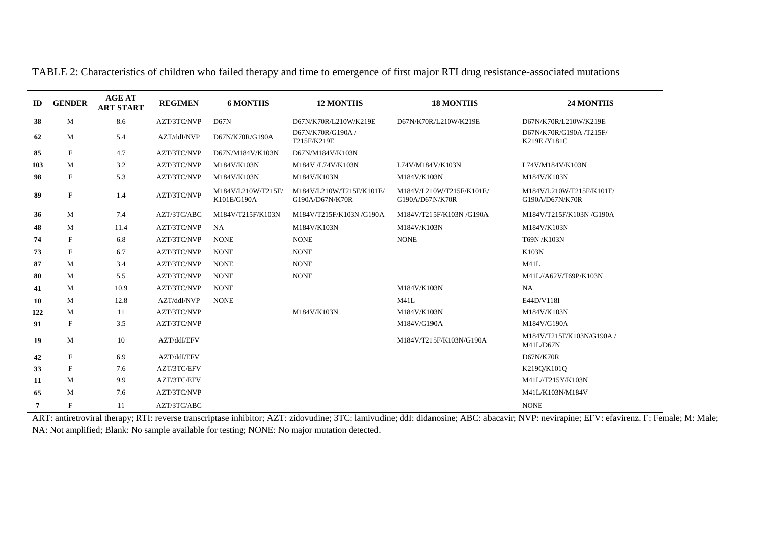| ID             | <b>GENDER</b> | <b>AGE AT</b><br><b>ART START</b> | <b>REGIMEN</b> | <b>6 MONTHS</b>                   | <b>12 MONTHS</b>                            | <b>18 MONTHS</b>                            | 24 MONTHS                                     |
|----------------|---------------|-----------------------------------|----------------|-----------------------------------|---------------------------------------------|---------------------------------------------|-----------------------------------------------|
| 38             | M             | 8.6                               | AZT/3TC/NVP    | D67N                              | D67N/K70R/L210W/K219E                       | D67N/K70R/L210W/K219E                       | D67N/K70R/L210W/K219E                         |
| 62             | М             | 5.4                               | AZT/ddI/NVP    | D67N/K70R/G190A                   | D67N/K70R/G190A /<br>T215F/K219E            |                                             | D67N/K70R/G190A /T215F/<br>K219E/Y181C        |
| 85             | $\mathbf{F}$  | 4.7                               | AZT/3TC/NVP    | D67N/M184V/K103N                  | D67N/M184V/K103N                            |                                             |                                               |
| 103            | M             | 3.2                               | AZT/3TC/NVP    | M184V/K103N                       | M184V /L74V/K103N                           | L74V/M184V/K103N                            | L74V/M184V/K103N                              |
| 98             | $\mathbf F$   | 5.3                               | AZT/3TC/NVP    | M184V/K103N                       | M184V/K103N                                 | M184V/K103N                                 | M184V/K103N                                   |
| 89             | $\mathbf F$   | 1.4                               | AZT/3TC/NVP    | M184V/L210W/T215F/<br>K101E/G190A | M184V/L210W/T215F/K101E/<br>G190A/D67N/K70R | M184V/L210W/T215F/K101E/<br>G190A/D67N/K70R | M184V/L210W/T215F/K101E/<br>G190A/D67N/K70R   |
| 36             | М             | 7.4                               | AZT/3TC/ABC    | M184V/T215F/K103N                 | M184V/T215F/K103N/G190A                     | M184V/T215F/K103N/G190A                     | M184V/T215F/K103N /G190A                      |
| 48             | M             | 11.4                              | AZT/3TC/NVP    | <b>NA</b>                         | M184V/K103N                                 | M184V/K103N                                 | M184V/K103N                                   |
| 74             | $\mathbf{F}$  | 6.8                               | AZT/3TC/NVP    | <b>NONE</b>                       | <b>NONE</b>                                 | <b>NONE</b>                                 | T69N/K103N                                    |
| 73             | $\mathbf F$   | 6.7                               | AZT/3TC/NVP    | <b>NONE</b>                       | <b>NONE</b>                                 |                                             | K103N                                         |
| 87             | М             | 3.4                               | AZT/3TC/NVP    | <b>NONE</b>                       | <b>NONE</b>                                 |                                             | M41L                                          |
| 80             | М             | 5.5                               | AZT/3TC/NVP    | <b>NONE</b>                       | <b>NONE</b>                                 |                                             | M41L//A62V/T69P/K103N                         |
| 41             | М             | 10.9                              | AZT/3TC/NVP    | <b>NONE</b>                       |                                             | M184V/K103N                                 | <b>NA</b>                                     |
| 10             | M             | 12.8                              | AZT/ddI/NVP    | <b>NONE</b>                       |                                             | M41L                                        | E44D/V118I                                    |
| 122            | M             | -11                               | AZT/3TC/NVP    |                                   | M184V/K103N                                 | M184V/K103N                                 | M184V/K103N                                   |
| 91             | $\mathbf{F}$  | 3.5                               | AZT/3TC/NVP    |                                   |                                             | M184V/G190A                                 | M184V/G190A                                   |
| 19             | M             | 10                                | AZT/ddI/EFV    |                                   |                                             | M184V/T215F/K103N/G190A                     | M184V/T215F/K103N/G190A /<br><b>M41L/D67N</b> |
| 42             | $\mathbf F$   | 6.9                               | AZT/ddI/EFV    |                                   |                                             |                                             | D67N/K70R                                     |
| 33             | $\mathbf{F}$  | 7.6                               | AZT/3TC/EFV    |                                   |                                             |                                             | K219Q/K101Q                                   |
| 11             | М             | 9.9                               | AZT/3TC/EFV    |                                   |                                             |                                             | M41L//T215Y/K103N                             |
| 65             | M             | 7.6                               | AZT/3TC/NVP    |                                   |                                             |                                             | M41L/K103N/M184V                              |
| $\overline{7}$ | $\mathbf{F}$  | 11                                | AZT/3TC/ABC    |                                   |                                             |                                             | <b>NONE</b>                                   |

TABLE 2: Characteristics of children who failed therapy and time to emergence of first major RTI drug resistance-associated mutations

ART: antiretroviral therapy; RTI: reverse transcriptase inhibitor; AZT: zidovudine; 3TC: lamivudine; ddI: didanosine; ABC: abacavir; NVP: nevirapine; EFV: efavirenz. F: Female; M: Male; NA: Not amplified; Blank: No sample available for testing; NONE: No major mutation detected.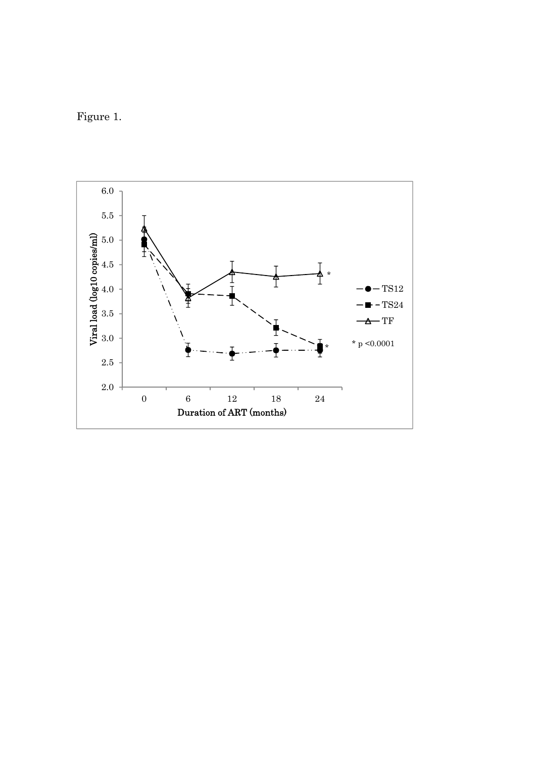Figure 1.